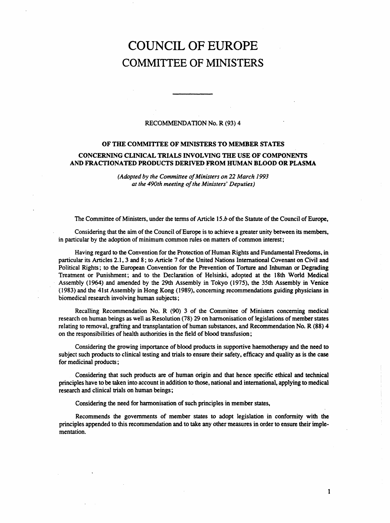# COUNCIL OF EUROPE COMMITTEE OF MINISTERS

# RECOMMENDATION No. R (93)4

# OF THE COMMITTEE OF MINISTERS TO MEMBER STATES

# CONCERNING CLINICAL TRIALS INVOLVING THE USE OF COMPONENTS AND FRACTIONATED PRODUCTS DERIVED FROM HUMAN BLOOD OR PLASMA

(Adopted by the Committee of Ministers on 22 March 1993 at the 490th meeting of the Ministers' Deputies)

The Committee of Ministers, under the terms of Article 15.b of the Statute of the Council of Europe,

Considering that the aim of the Council of Europe is to achieve a greater unity between its members, in particular by the adoption of minimum common rules on matters of common interest;

Having regard to the Convention for the Protection of Human Rights and Fundamental Freedoms, in particular its Articles 2.1,3 and 8; to Article 7 of the United Nations International Covenant on Civil and Political Rights; to the European Convention for the Prevention of Torture and Inhuman or Degrading Treatment or Punishment; and to the Declaration of Helsinki, adopted at the 18th World Medical Assembly (1964) and amended by the 29th Assembly in Tokyo (1975), the 35th Assembly in Venice (1983) and the 41st Assembly in Hong Kong (1989), concerning recommendations guiding physicians in biomedical research involving human subjects;

Recalling Recommendation No. R (90) 3 of the Committee of Ministers concerning medical research on human beings as well as Resolution (78) 29 on harmonisation of legislations of member states relating to removal, grafting and transplantation of human substances, and Recommendation No. R (88) 4 on the responsibilities of health authorities in the field of blood transfusion;

Considering the growing importance of blood products in supportive haemotherapy and the need to subject such products to clinical testing and trials to ensure their safety, efficacy and quality as is the case for medicinal products;

Considering that such products are of human origin and that hence specific ethical and technical principles have to be taken into account in addition to those, national and international, applying to medical research and clinical trials on human beings;

Considering the need for harmonisation of such principles in member states,

Recommends the governments of member states to adopt legislation in conformity with the principles appended to this recommendation and to take any other measures in order to ensure their implementation.

1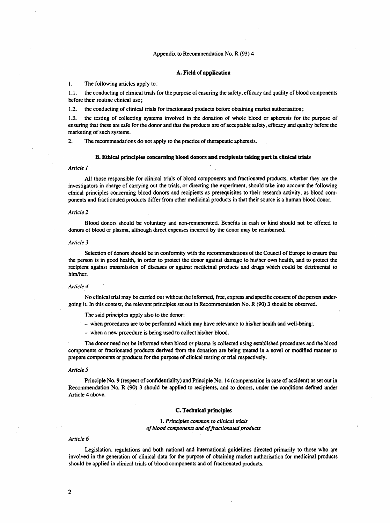### Appendix to Recommendation No. R (93)4

#### A. Field of application

#### 1. The following articles apply to:

1.1. the conducting of clinical trials for the purpose of ensuring the safety, efficacy and quality of blood components before their routine clinical use;

1.2. the conducting of clinical trials for fractionated products before obtaining market authorisation;

1.3. the testing of collecting systems involved in the donation of whole blood or apheresis for the purpose of ensuring that these are safe for the donor and that the products are of acceptable safety, efficacy and quality before the marketing of such systems.

2. The recommendations do not apply to the practice of therapeutic apheresis.

#### B. Ethical principles concerning blood donors and recipients taking part in clinical trials

#### Article 1

All those responsible for clinical trials of blood components and fractionated products, whether they are the investigators in charge of carrying out the trials, or directing the experiment, should take into account the following ethical principles concerning blood donors and recipients as prerequisites to their research activity, as blood components and fractionated products differ from other medicinal products in that their source is a human blood donor.

#### Article 2

Blood donors should be voluntary and non-remunerated. Benefits in cash or kind should not be offered to donors of blood or plasma, although direct expenses incurred by the donor may be reimbursed.

#### Article 3

Selection of donors should be in conformity with the recommendations of the Council of Europe to ensure that the person is in good health, in order to protect the donor against damage to his/her own health, and to protect the recipient against transmission of diseases or against medicinal products and drugs which could be detrimental to him/her.

#### Article 4

No clinical trial may be carried out without the informed, free, express and specific consent of the person undergoing it. In this context, the relevant principles set out in Recommendation No. R (90) 3 should be observed.

The said principles apply also to the donor:

- when procedures are to be performed which may have relevance to his/her health and well-being;
- when a new procedure is being used to collect his/her blood.

The donor need not be informed when blood or plasma is collected using established procedures and the blood components or fractionated products derived from the donation are being treated in a novel or modified manner to prepare components or products for the purpose of clinical testing or trial respectively.

#### Article 5

Principle No. 9 (respect of confidentiality) and Principle No. 14 (compensation in case of accident) as set out in Recommendation No. R (90) 3 should be applied to recipients, and to donors, under the conditions defined under Article 4 above.

#### C. Technical principles

1. Principles common to clinical trials of blood components and of fractionated products

#### Article 6

Legislation, regulations and both national and international guidelines directed primarily to those who are involved in the generation of clinical data for the purpose of obtaining market authorisation for medicinal products should be applied in clinical trials of blood components and of fractionated products.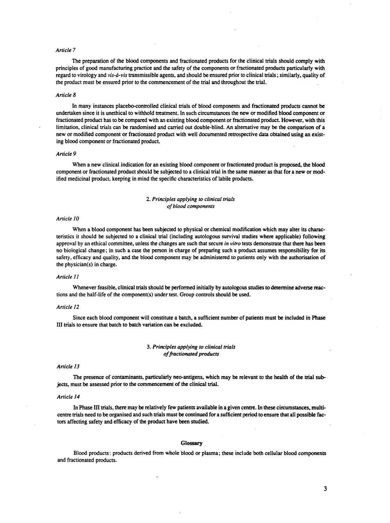#### Article 7

The preparation of the blood components and fractionated products for the clinical trials should comply with principles of good manufacturing practice and the safety of the components or fractionated products particularly with regard to virology and vis-à-vis transmissible agents, and should be ensured prior to clinical trials; similarly, quality of the product must be ensured prior to the commencement of the trial and throughout the trial.

#### Article 8

In many instances placebo-controlled clinical trials of blood components; and fractionated products cannot be undertaken since it is unethical to withhold treatment. In such circumstances the new or modified blood component or fractionated product has to be compared with an existing blood component or fractionated product. However, with this limitation, clinical trials can be randomised and carried out double-blind. An alternative may be the comparison of a new or modified component or fractionated product with well documented retrospective data obtained using an existing blood component or fractionated product.

#### Article 9

When a new clinical indication for an existing blood component or fractionated product is proposed, the blood component or fractionated product should be subjected to a clinical trial in the same manner as that for a new or modified medicinal product, keeping in mind the specific characteristics of labile products.

# 2. Principles applying to clinical trials of blood components

#### Article 10

When a blood component has been subjected to physical or chemical modification which may alter its characteristics it should be subjected to a clinical trial (including autologous survival studies where applicable) following approval by an ethical committee, unless the changes are such that secure in vitro tests demonstrate that there has been no biological change; in such a case the person in charge of preparing such a product assumes responsibility for its safety, efficacy and quality, and the blood component may be administered to patients only with the authorisation of the physician(s) in charge.

#### Article 11

Whenever feasible, clinical trials should be performed initially by autologous studies to determine adverse reactions and the half-life of the component(s) under test. Group controls should be used.

#### Article 12

Since each blood component will constitute a batch, a sufficient number of patients must be included in Phase III trials to ensure that batch to batch variation can be excluded.

## 3. Principles applying to clinical trials of fractionated products

#### Article 13

The presence of contaminants, particularly neo-antigens, which may be relevant to the health of the trial subjects, must be assessed prior to the commencement of the clinical trial.

#### Article 14

In Phase III trials, there may be relatively few patients available in a given centre. In these circumstances, multicentre trials need to be organised and such trials must be continued for a sufficient period to ensure that all possible factors affecting safety and efficacy of the product have been studied.

#### Glossary

Blood products: products derived from whole blood or plasma; these include both cellular blood components and fractionated products.